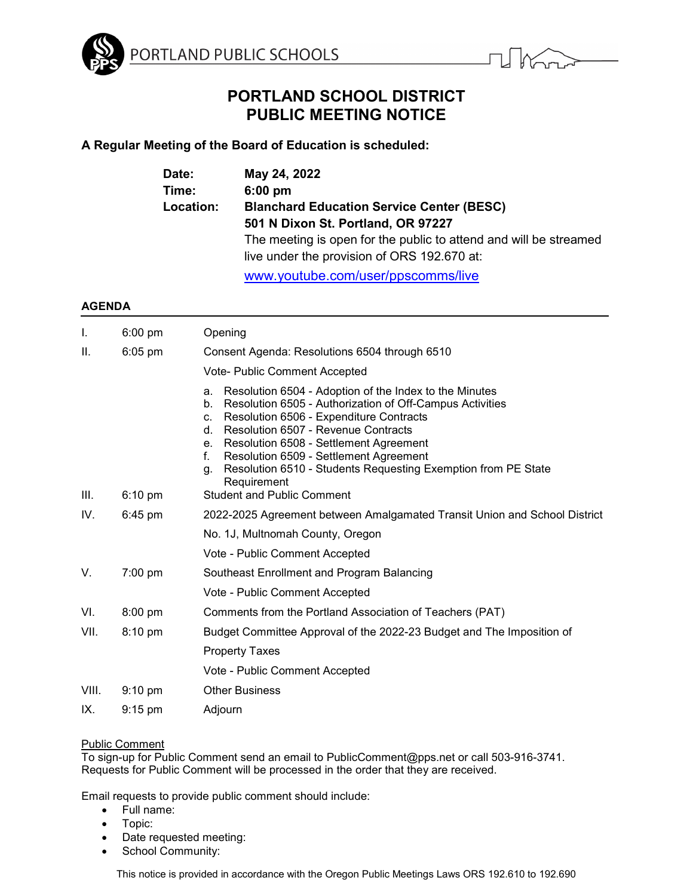



# **PORTLAND SCHOOL DISTRICT PUBLIC MEETING NOTICE**

# **A Regular Meeting of the Board of Education is scheduled:**

| Date:     | May 24, 2022                                                      |  |
|-----------|-------------------------------------------------------------------|--|
| Time:     | $6:00$ pm                                                         |  |
| Location: | <b>Blanchard Education Service Center (BESC)</b>                  |  |
|           | 501 N Dixon St. Portland, OR 97227                                |  |
|           | The meeting is open for the public to attend and will be streamed |  |
|           | live under the provision of ORS 192.670 at:                       |  |
|           |                                                                   |  |

[www.youtube.com/user/ppscomms/live](http://www.youtube.com/user/ppscomms/live)

# **AGENDA**

| Ι.    | 6:00 pm           | Opening                                                                                                                                                                                                                                                                                                                                                                                                            |
|-------|-------------------|--------------------------------------------------------------------------------------------------------------------------------------------------------------------------------------------------------------------------------------------------------------------------------------------------------------------------------------------------------------------------------------------------------------------|
| ΙΙ.   | $6:05$ pm         | Consent Agenda: Resolutions 6504 through 6510                                                                                                                                                                                                                                                                                                                                                                      |
|       |                   | <b>Vote- Public Comment Accepted</b>                                                                                                                                                                                                                                                                                                                                                                               |
|       |                   | Resolution 6504 - Adoption of the Index to the Minutes<br>a.<br>Resolution 6505 - Authorization of Off-Campus Activities<br>b.<br>Resolution 6506 - Expenditure Contracts<br>c.<br>Resolution 6507 - Revenue Contracts<br>d.<br>Resolution 6508 - Settlement Agreement<br>e.<br>f.<br>Resolution 6509 - Settlement Agreement<br>Resolution 6510 - Students Requesting Exemption from PE State<br>g.<br>Requirement |
| III.  | $6:10 \text{ pm}$ | <b>Student and Public Comment</b>                                                                                                                                                                                                                                                                                                                                                                                  |
| IV.   | $6:45$ pm         | 2022-2025 Agreement between Amalgamated Transit Union and School District                                                                                                                                                                                                                                                                                                                                          |
|       |                   | No. 1J, Multnomah County, Oregon                                                                                                                                                                                                                                                                                                                                                                                   |
|       |                   | Vote - Public Comment Accepted                                                                                                                                                                                                                                                                                                                                                                                     |
| V.    | $7:00$ pm         | Southeast Enrollment and Program Balancing                                                                                                                                                                                                                                                                                                                                                                         |
|       |                   | Vote - Public Comment Accepted                                                                                                                                                                                                                                                                                                                                                                                     |
| VI.   | $8:00$ pm         | Comments from the Portland Association of Teachers (PAT)                                                                                                                                                                                                                                                                                                                                                           |
| VII.  | 8:10 pm           | Budget Committee Approval of the 2022-23 Budget and The Imposition of                                                                                                                                                                                                                                                                                                                                              |
|       |                   | <b>Property Taxes</b>                                                                                                                                                                                                                                                                                                                                                                                              |
|       |                   | Vote - Public Comment Accepted                                                                                                                                                                                                                                                                                                                                                                                     |
| VIII. | $9:10 \text{ pm}$ | <b>Other Business</b>                                                                                                                                                                                                                                                                                                                                                                                              |
| IX.   | $9:15$ pm         | Adjourn                                                                                                                                                                                                                                                                                                                                                                                                            |

# Public Comment

To sign-up for Public Comment send an email to PublicComment@pps.net or call 503-916-3741. Requests for Public Comment will be processed in the order that they are received.

Email requests to provide public comment should include:

- Full name:
- Topic:
- Date requested meeting:
- School Community:

This notice is provided in accordance with the Oregon Public Meetings Laws ORS 192.610 to 192.690